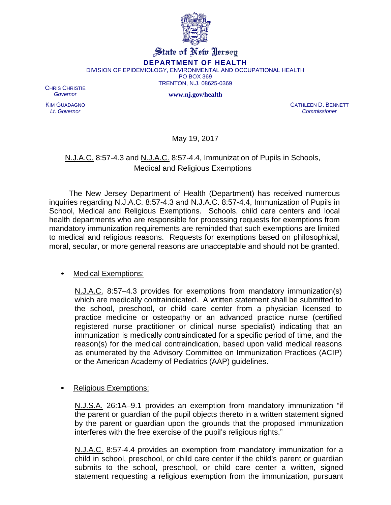

## State of New Jersey

**DEPARTMENT OF HEALTH**

DIVISION OF EPIDEMIOLOGY, ENVIRONMENTAL AND OCCUPATIONAL HEALTH

PO BOX 369

TRENTON, N.J. 08625-0369

**www.nj.gov/health**

CHRIS CHRISTIE *Governor*

KIM GUADAGNO *Lt. Governor*

CATHLEEN D. BENNETT *Commissioner*

May 19, 2017

## N.J.A.C. 8:57-4.3 and N.J.A.C. 8:57-4.4, Immunization of Pupils in Schools, Medical and Religious Exemptions

The New Jersey Department of Health (Department) has received numerous inquiries regarding N.J.A.C. 8:57-4.3 and N.J.A.C. 8:57-4.4, Immunization of Pupils in School, Medical and Religious Exemptions. Schools, child care centers and local health departments who are responsible for processing requests for exemptions from mandatory immunization requirements are reminded that such exemptions are limited to medical and religious reasons. Requests for exemptions based on philosophical, moral, secular, or more general reasons are unacceptable and should not be granted.

## • Medical Exemptions:

N.J.A.C. 8:57–4.3 provides for exemptions from mandatory immunization(s) which are medically contraindicated. A written statement shall be submitted to the school, preschool, or child care center from a physician licensed to practice medicine or osteopathy or an advanced practice nurse (certified registered nurse practitioner or clinical nurse specialist) indicating that an immunization is medically contraindicated for a specific period of time, and the reason(s) for the medical contraindication, based upon valid medical reasons as enumerated by the Advisory Committee on Immunization Practices (ACIP) or the American Academy of Pediatrics (AAP) guidelines.

## Religious Exemptions:

N.J.S.A. 26:1A–9.1 provides an exemption from mandatory immunization "if the parent or guardian of the pupil objects thereto in a written statement signed by the parent or guardian upon the grounds that the proposed immunization interferes with the free exercise of the pupil's religious rights."

N.J.A.C. 8:57-4.4 provides an exemption from mandatory immunization for a child in school, preschool, or child care center if the child's parent or guardian submits to the school, preschool, or child care center a written, signed statement requesting a religious exemption from the immunization, pursuant